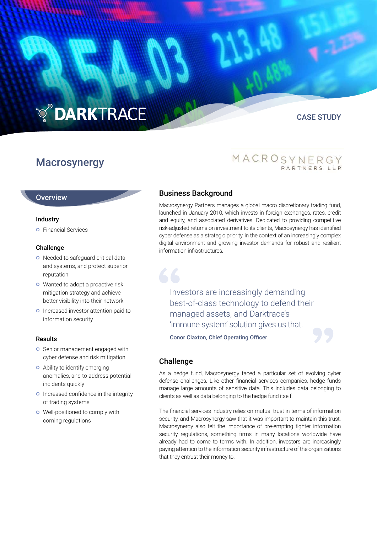# **TO DARKTRACE**

# **Macrosynergy**

# CASE STUDY

MACROSYNERGY

## Business Background

Macrosynergy Partners manages a global macro discretionary trading fund, launched in January 2010, which invests in foreign exchanges, rates, credit and equity, and associated derivatives. Dedicated to providing competitive risk-adjusted returns on investment to its clients, Macrosynergy has identified cyber defense as a strategic priority, in the context of an increasingly complex digital environment and growing investor demands for robust and resilient information infrastructures.

Investors are increasingly demanding best-of-class technology to defend their managed assets, and Darktrace's 'immune system' solution gives us that.

Conor Claxton, Chief Operating Officer

### **Challenge**

As a hedge fund, Macrosynergy faced a particular set of evolving cyber defense challenges. Like other financial services companies, hedge funds manage large amounts of sensitive data. This includes data belonging to clients as well as data belonging to the hedge fund itself.

The financial services industry relies on mutual trust in terms of information security, and Macrosynergy saw that it was important to maintain this trust. Macrosynergy also felt the importance of pre-empting tighter information security regulations, something firms in many locations worldwide have already had to come to terms with. In addition, investors are increasingly paying attention to the information security infrastructure of the organizations that they entrust their money to.

# **Overview**

#### Industry

**o** Financial Services

#### Challenge

- o Needed to safeguard critical data and systems, and protect superior reputation
- **o** Wanted to adopt a proactive risk mitigation strategy and achieve better visibility into their network
- **O** Increased investor attention paid to information security

#### Results

- **o** Senior management engaged with cyber defense and risk mitigation
- Ability to identify emerging anomalies, and to address potential incidents quickly
- **O** Increased confidence in the integrity of trading systems
- o Well-positioned to comply with coming regulations